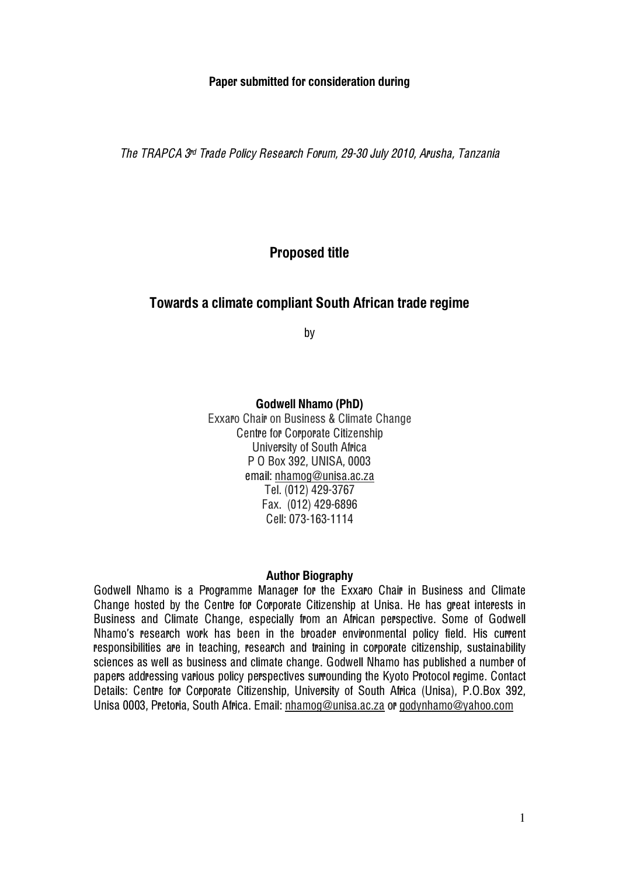## Paper submitted for consideration during

The TRAPCA 3r<sup>d</sup> Trade Policy Research Forum, 29-30 July 2010, Arusha, Tanzani<sup>a</sup>

# Proposed title

# Towards a climate compliant South African trade regime

by

Godwell Nhamo (PhD) Exxaro Chair on Business & Climate Change Centre for Corporate Citizenship University of South Africa P O Box 392, UNISA, 0003 email: nhamog@unisa.ac.za Tel. (012) 429-3767 Fax. (012) 429-6896 Cell: 073-163-1114

### Author Biography

Godwell Nhamo is a Programme Manager for the Exxaro Chair in Business and Climate Change hosted by the Centre for Corporate Citizenship at Unisa. He has great interests in Business and Climate Change, especially from an African perspective. Some of Godwell Nhamo's research work has been in the broader environmental policy field. His current responsibilities are in teaching, research and training in corporate citizenship, sustainability sciences as well as business and climate change. Godwell Nhamo has published a number of papers addressing various policy perspectives surrounding the Kyoto Protocol regime. Contact Details: Centre for Corporate Citizenship, University of South Africa (Unisa), P.O.Box 392, Unisa 0003, Pretoria, South Africa. Email: nhamog@unisa.ac.za or godynhamo@yahoo.com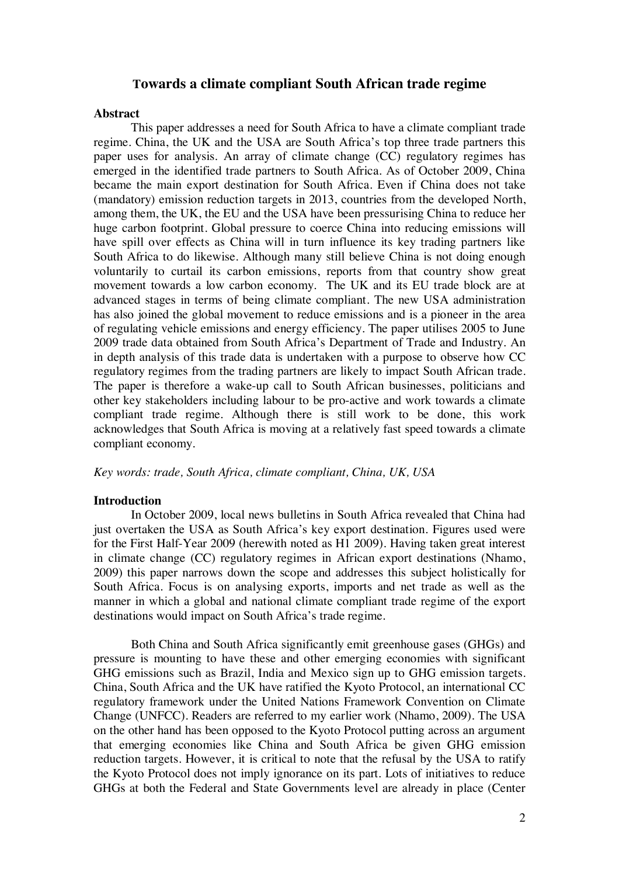## **Towards a climate compliant South African trade regime**

#### **Abstract**

This paper addresses a need for South Africa to have a climate compliant trade regime. China, the UK and the USA are South Africa's top three trade partners this paper uses for analysis. An array of climate change (CC) regulatory regimes has emerged in the identified trade partners to South Africa. As of October 2009, China became the main export destination for South Africa. Even if China does not take (mandatory) emission reduction targets in 2013, countries from the developed North, among them, the UK, the EU and the USA have been pressurising China to reduce her huge carbon footprint. Global pressure to coerce China into reducing emissions will have spill over effects as China will in turn influence its key trading partners like South Africa to do likewise. Although many still believe China is not doing enough voluntarily to curtail its carbon emissions, reports from that country show great movement towards a low carbon economy. The UK and its EU trade block are at advanced stages in terms of being climate compliant. The new USA administration has also joined the global movement to reduce emissions and is a pioneer in the area of regulating vehicle emissions and energy efficiency. The paper utilises 2005 to June 2009 trade data obtained from South Africa's Department of Trade and Industry. An in depth analysis of this trade data is undertaken with a purpose to observe how CC regulatory regimes from the trading partners are likely to impact South African trade. The paper is therefore a wake-up call to South African businesses, politicians and other key stakeholders including labour to be pro-active and work towards a climate compliant trade regime. Although there is still work to be done, this work acknowledges that South Africa is moving at a relatively fast speed towards a climate compliant economy.

*Key words: trade, South Africa, climate compliant, China, UK, USA*

### **Introduction**

In October 2009, local news bulletins in South Africa revealed that China had just overtaken the USA as South Africa's key export destination. Figures used were for the First Half-Year 2009 (herewith noted as H1 2009). Having taken great interest in climate change (CC) regulatory regimes in African export destinations (Nhamo, 2009) this paper narrows down the scope and addresses this subject holistically for South Africa. Focus is on analysing exports, imports and net trade as well as the manner in which a global and national climate compliant trade regime of the export destinations would impact on South Africa's trade regime.

Both China and South Africa significantly emit greenhouse gases (GHGs) and pressure is mounting to have these and other emerging economies with significant GHG emissions such as Brazil, India and Mexico sign up to GHG emission targets. China, South Africa and the UK have ratified the Kyoto Protocol, an international CC regulatory framework under the United Nations Framework Convention on Climate Change (UNFCC). Readers are referred to my earlier work (Nhamo, 2009). The USA on the other hand has been opposed to the Kyoto Protocol putting across an argument that emerging economies like China and South Africa be given GHG emission reduction targets. However, it is critical to note that the refusal by the USA to ratify the Kyoto Protocol does not imply ignorance on its part. Lots of initiatives to reduce GHGs at both the Federal and State Governments level are already in place (Center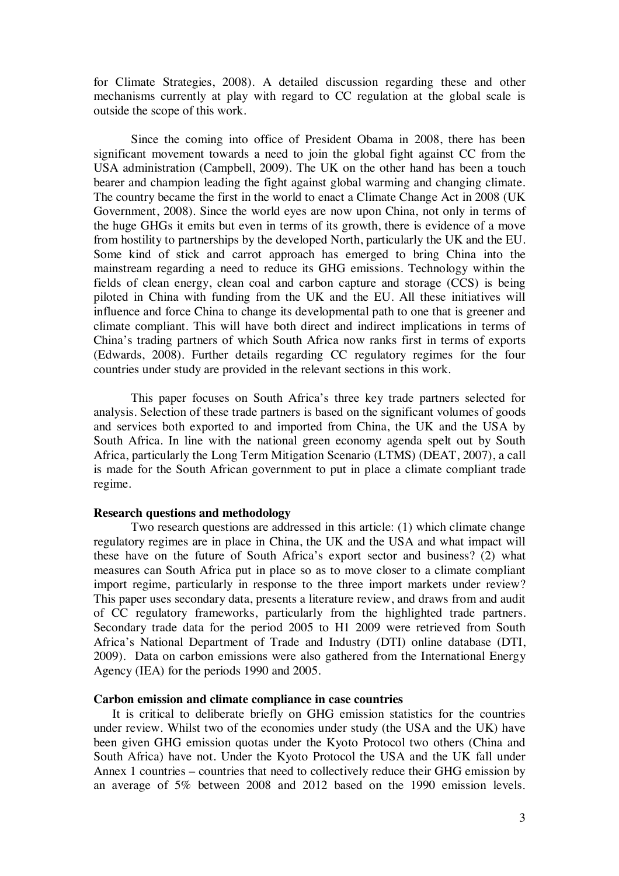for Climate Strategies, 2008). A detailed discussion regarding these and other mechanisms currently at play with regard to CC regulation at the global scale is outside the scope of this work.

Since the coming into office of President Obama in 2008, there has been significant movement towards a need to join the global fight against CC from the USA administration (Campbell, 2009). The UK on the other hand has been a touch bearer and champion leading the fight against global warming and changing climate. The country became the first in the world to enact a Climate Change Act in 2008 (UK Government, 2008). Since the world eyes are now upon China, not only in terms of the huge GHGs it emits but even in terms of its growth, there is evidence of a move from hostility to partnerships by the developed North, particularly the UK and the EU. Some kind of stick and carrot approach has emerged to bring China into the mainstream regarding a need to reduce its GHG emissions. Technology within the fields of clean energy, clean coal and carbon capture and storage (CCS) is being piloted in China with funding from the UK and the EU. All these initiatives will influence and force China to change its developmental path to one that is greener and climate compliant. This will have both direct and indirect implications in terms of China's trading partners of which South Africa now ranks first in terms of exports (Edwards, 2008). Further details regarding CC regulatory regimes for the four countries under study are provided in the relevant sections in this work.

This paper focuses on South Africa's three key trade partners selected for analysis. Selection of these trade partners is based on the significant volumes of goods and services both exported to and imported from China, the UK and the USA by South Africa. In line with the national green economy agenda spelt out by South Africa, particularly the Long Term Mitigation Scenario (LTMS) (DEAT, 2007), a call is made for the South African government to put in place a climate compliant trade regime.

#### **Research questions and methodology**

Two research questions are addressed in this article: (1) which climate change regulatory regimes are in place in China, the UK and the USA and what impact will these have on the future of South Africa's export sector and business? (2) what measures can South Africa put in place so as to move closer to a climate compliant import regime, particularly in response to the three import markets under review? This paper uses secondary data, presents a literature review, and draws from and audit of CC regulatory frameworks, particularly from the highlighted trade partners. Secondary trade data for the period 2005 to H1 2009 were retrieved from South Africa's National Department of Trade and Industry (DTI) online database (DTI, 2009). Data on carbon emissions were also gathered from the International Energy Agency (IEA) for the periods 1990 and 2005.

### **Carbon emission and climate compliance in case countries**

It is critical to deliberate briefly on GHG emission statistics for the countries under review. Whilst two of the economies under study (the USA and the UK) have been given GHG emission quotas under the Kyoto Protocol two others (China and South Africa) have not. Under the Kyoto Protocol the USA and the UK fall under Annex 1 countries – countries that need to collectively reduce their GHG emission by an average of 5% between 2008 and 2012 based on the 1990 emission levels.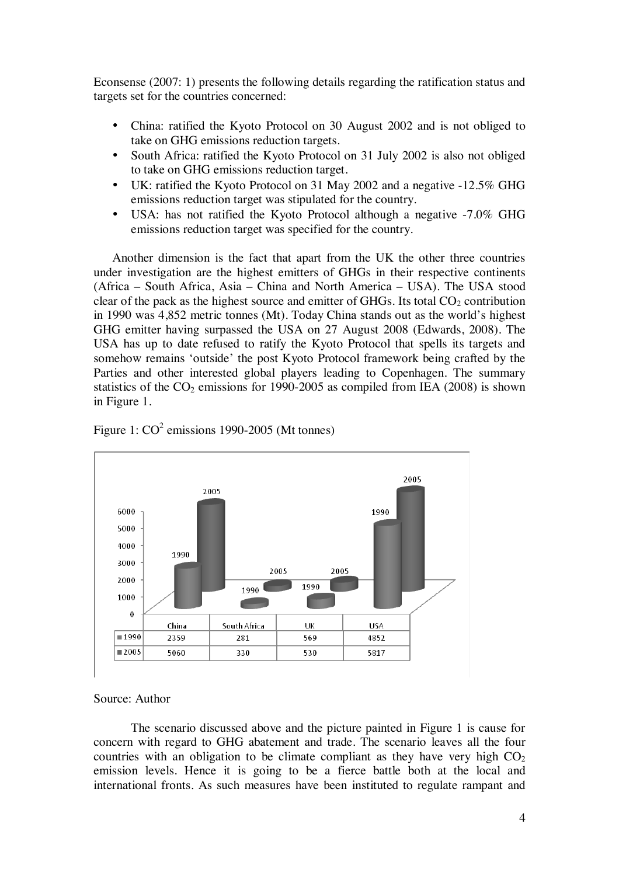Econsense (2007: 1) presents the following details regarding the ratification status and targets set for the countries concerned:

- China: ratified the Kyoto Protocol on 30 August 2002 and is not obliged to take on GHG emissions reduction targets.
- South Africa: ratified the Kyoto Protocol on 31 July 2002 is also not obliged to take on GHG emissions reduction target.
- UK: ratified the Kyoto Protocol on 31 May 2002 and a negative -12.5% GHG emissions reduction target was stipulated for the country.
- USA: has not ratified the Kyoto Protocol although a negative -7.0% GHG emissions reduction target was specified for the country.

Another dimension is the fact that apart from the UK the other three countries under investigation are the highest emitters of GHGs in their respective continents (Africa – South Africa, Asia – China and North America – USA). The USA stood clear of the pack as the highest source and emitter of GHGs. Its total  $CO<sub>2</sub>$  contribution in 1990 was 4,852 metric tonnes (Mt). Today China stands out as the world's highest GHG emitter having surpassed the USA on 27 August 2008 (Edwards, 2008). The USA has up to date refused to ratify the Kyoto Protocol that spells its targets and somehow remains 'outside' the post Kyoto Protocol framework being crafted by the Parties and other interested global players leading to Copenhagen. The summary statistics of the  $CO<sub>2</sub>$  emissions for 1990-2005 as compiled from IEA (2008) is shown in Figure 1.





Source: Author

The scenario discussed above and the picture painted in Figure 1 is cause for concern with regard to GHG abatement and trade. The scenario leaves all the four countries with an obligation to be climate compliant as they have very high  $CO<sub>2</sub>$ emission levels. Hence it is going to be a fierce battle both at the local and international fronts. As such measures have been instituted to regulate rampant and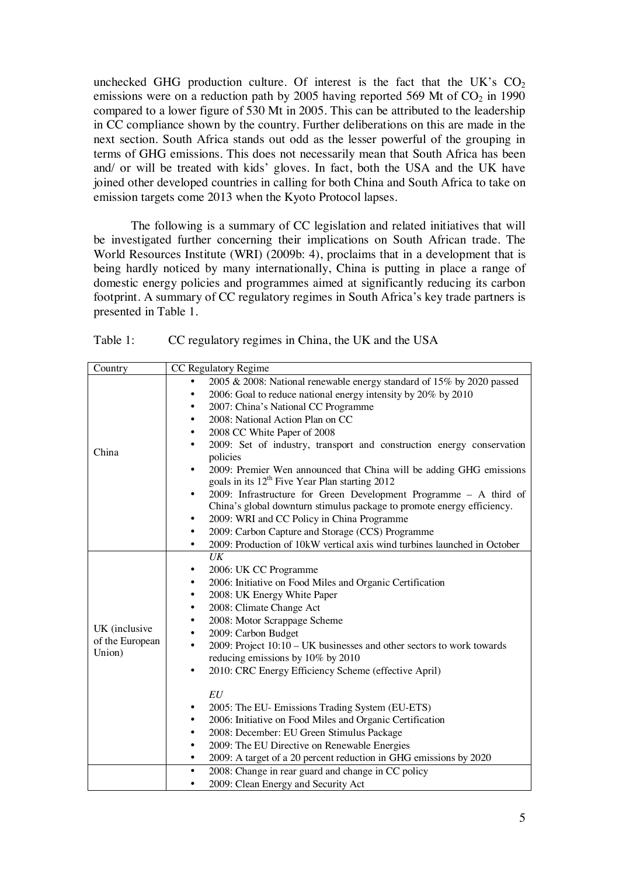unchecked GHG production culture. Of interest is the fact that the UK's  $CO<sub>2</sub>$ emissions were on a reduction path by 2005 having reported 569 Mt of  $CO<sub>2</sub>$  in 1990 compared to a lower figure of 530 Mt in 2005. This can be attributed to the leadership in CC compliance shown by the country. Further deliberations on this are made in the next section. South Africa stands out odd as the lesser powerful of the grouping in terms of GHG emissions. This does not necessarily mean that South Africa has been and/ or will be treated with kids' gloves. In fact, both the USA and the UK have joined other developed countries in calling for both China and South Africa to take on emission targets come 2013 when the Kyoto Protocol lapses.

The following is a summary of CC legislation and related initiatives that will be investigated further concerning their implications on South African trade. The World Resources Institute (WRI) (2009b: 4), proclaims that in a development that is being hardly noticed by many internationally, China is putting in place a range of domestic energy policies and programmes aimed at significantly reducing its carbon footprint. A summary of CC regulatory regimes in South Africa's key trade partners is presented in Table 1.

| Table 1: | CC regulatory regimes in China, the UK and the USA |  |  |
|----------|----------------------------------------------------|--|--|
|          |                                                    |  |  |

| Country         | CC Regulatory Regime                                                                                               |  |  |  |  |  |  |
|-----------------|--------------------------------------------------------------------------------------------------------------------|--|--|--|--|--|--|
|                 | 2005 & 2008: National renewable energy standard of 15% by 2020 passed                                              |  |  |  |  |  |  |
|                 | 2006: Goal to reduce national energy intensity by 20% by 2010<br>٠                                                 |  |  |  |  |  |  |
|                 | 2007: China's National CC Programme<br>٠                                                                           |  |  |  |  |  |  |
|                 | 2008: National Action Plan on CC                                                                                   |  |  |  |  |  |  |
|                 | 2008 CC White Paper of 2008<br>٠                                                                                   |  |  |  |  |  |  |
|                 | 2009: Set of industry, transport and construction energy conservation<br>٠                                         |  |  |  |  |  |  |
| China           | policies                                                                                                           |  |  |  |  |  |  |
|                 | 2009: Premier Wen announced that China will be adding GHG emissions<br>$\bullet$                                   |  |  |  |  |  |  |
|                 | goals in its 12 <sup>th</sup> Five Year Plan starting 2012                                                         |  |  |  |  |  |  |
|                 | 2009: Infrastructure for Green Development Programme - A third of                                                  |  |  |  |  |  |  |
|                 | China's global downturn stimulus package to promote energy efficiency.                                             |  |  |  |  |  |  |
|                 | 2009: WRI and CC Policy in China Programme<br>٠                                                                    |  |  |  |  |  |  |
|                 | 2009: Carbon Capture and Storage (CCS) Programme<br>٠                                                              |  |  |  |  |  |  |
|                 | 2009: Production of 10kW vertical axis wind turbines launched in October<br>$\bullet$                              |  |  |  |  |  |  |
|                 | UK                                                                                                                 |  |  |  |  |  |  |
|                 | 2006: UK CC Programme                                                                                              |  |  |  |  |  |  |
|                 | 2006: Initiative on Food Miles and Organic Certification<br>٠                                                      |  |  |  |  |  |  |
|                 | 2008: UK Energy White Paper<br>٠                                                                                   |  |  |  |  |  |  |
|                 | 2008: Climate Change Act<br>٠                                                                                      |  |  |  |  |  |  |
| UK (inclusive   | 2008: Motor Scrappage Scheme<br>٠                                                                                  |  |  |  |  |  |  |
| of the European | 2009: Carbon Budget                                                                                                |  |  |  |  |  |  |
| Union)          | 2009: Project 10:10 - UK businesses and other sectors to work towards                                              |  |  |  |  |  |  |
|                 | reducing emissions by 10% by 2010                                                                                  |  |  |  |  |  |  |
|                 | 2010: CRC Energy Efficiency Scheme (effective April)<br>$\bullet$                                                  |  |  |  |  |  |  |
|                 | EU                                                                                                                 |  |  |  |  |  |  |
|                 | 2005: The EU- Emissions Trading System (EU-ETS)<br>٠                                                               |  |  |  |  |  |  |
|                 | ٠                                                                                                                  |  |  |  |  |  |  |
|                 | 2006: Initiative on Food Miles and Organic Certification<br>2008: December: EU Green Stimulus Package<br>$\bullet$ |  |  |  |  |  |  |
|                 | 2009: The EU Directive on Renewable Energies<br>$\bullet$                                                          |  |  |  |  |  |  |
|                 | 2009: A target of a 20 percent reduction in GHG emissions by 2020                                                  |  |  |  |  |  |  |
|                 | 2008: Change in rear guard and change in CC policy<br>٠                                                            |  |  |  |  |  |  |
|                 | 2009: Clean Energy and Security Act<br>٠                                                                           |  |  |  |  |  |  |
|                 |                                                                                                                    |  |  |  |  |  |  |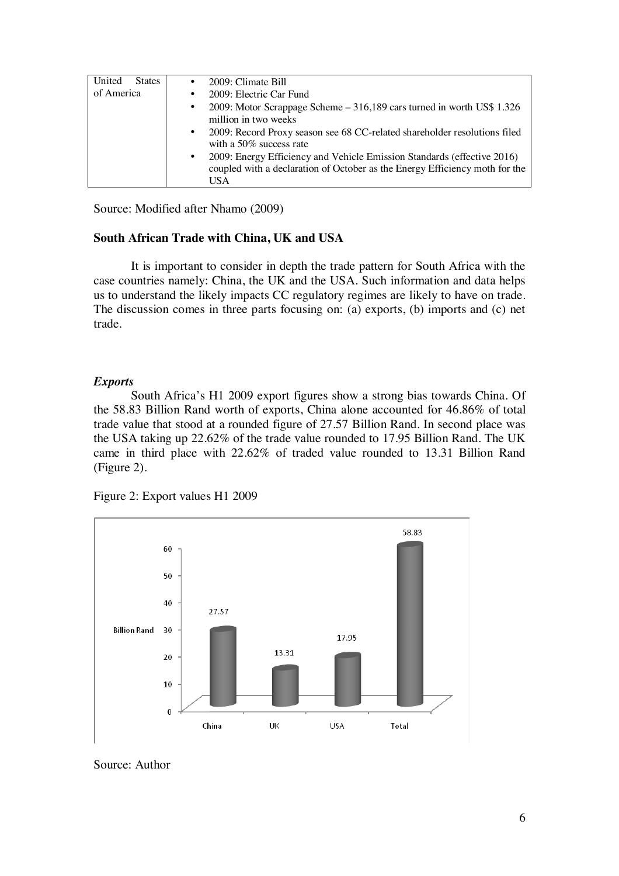| United<br><b>States</b> | 2009: Climate Bill<br>$\bullet$                                                                                                                                     |
|-------------------------|---------------------------------------------------------------------------------------------------------------------------------------------------------------------|
| of America              | 2009: Electric Car Fund<br>$\bullet$                                                                                                                                |
|                         | 2009: Motor Scrappage Scheme – 316,189 cars turned in worth US\$ 1.326<br>$\bullet$<br>million in two weeks                                                         |
|                         | 2009: Record Proxy season see 68 CC-related shareholder resolutions filed<br>$\bullet$<br>with a $50\%$ success rate                                                |
|                         | 2009: Energy Efficiency and Vehicle Emission Standards (effective 2016)<br>$\bullet$<br>coupled with a declaration of October as the Energy Efficiency moth for the |
|                         | USA                                                                                                                                                                 |

Source: Modified after Nhamo (2009)

## **South African Trade with China, UK and USA**

It is important to consider in depth the trade pattern for South Africa with the case countries namely: China, the UK and the USA. Such information and data helps us to understand the likely impacts CC regulatory regimes are likely to have on trade. The discussion comes in three parts focusing on: (a) exports, (b) imports and (c) net trade.

## *Exports*

South Africa's H1 2009 export figures show a strong bias towards China. Of the 58.83 Billion Rand worth of exports, China alone accounted for 46.86% of total trade value that stood at a rounded figure of 27.57 Billion Rand. In second place was the USA taking up 22.62% of the trade value rounded to 17.95 Billion Rand. The UK came in third place with 22.62% of traded value rounded to 13.31 Billion Rand (Figure 2).

Figure 2: Export values H1 2009



Source: Author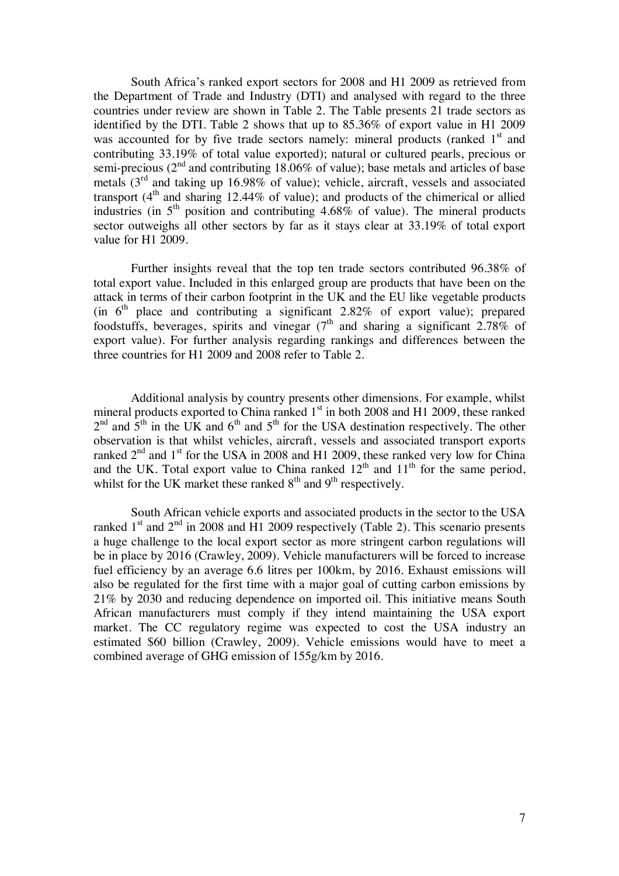South Africa's ranked export sectors for 2008 and H1 2009 as retrieved from the Department of Trade and Industry (DTI) and analysed with regard to the three countries under review are shown in Table 2. The Table presents 21 trade sectors as identified by the DTI. Table 2 shows that up to 85.36% of export value in H1 2009 was accounted for by five trade sectors namely: mineral products (ranked  $1<sup>st</sup>$  and contributing 33.19% of total value exported); natural or cultured pearls, precious or semi-precious ( $2<sup>nd</sup>$  and contributing 18.06% of value); base metals and articles of base metals  $(3<sup>rd</sup>$  and taking up 16.98% of value); vehicle, aircraft, vessels and associated transport  $(4<sup>th</sup>$  and sharing 12.44% of value); and products of the chimerical or allied industries (in  $5<sup>th</sup>$  position and contributing 4.68% of value). The mineral products sector outweighs all other sectors by far as it stays clear at 33.19% of total export value for H1 2009.

Further insights reveal that the top ten trade sectors contributed 96.38% of total export value. Included in this enlarged group are products that have been on the attack in terms of their carbon footprint in the UK and the EU like vegetable products (in  $6<sup>th</sup>$  place and contributing a significant 2.82% of export value); prepared foodstuffs, beverages, spirits and vinegar  $(7<sup>th</sup>$  and sharing a significant 2.78% of export value). For further analysis regarding rankings and differences between the three countries for H1 2009 and 2008 refer to Table 2.

Additional analysis by country presents other dimensions. For example, whilst mineral products exported to China ranked  $1<sup>st</sup>$  in both 2008 and H1 2009, these ranked  $2<sup>nd</sup>$  and  $5<sup>th</sup>$  in the UK and  $6<sup>th</sup>$  and  $5<sup>th</sup>$  for the USA destination respectively. The other observation is that whilst vehicles, aircraft, vessels and associated transport exports ranked  $2<sup>nd</sup>$  and  $1<sup>st</sup>$  for the USA in 2008 and H1 2009, these ranked very low for China and the UK. Total export value to China ranked  $12<sup>th</sup>$  and  $11<sup>th</sup>$  for the same period, whilst for the UK market these ranked  $8<sup>th</sup>$  and  $9<sup>th</sup>$  respectively.

South African vehicle exports and associated products in the sector to the USA ranked  $1<sup>st</sup>$  and  $2<sup>nd</sup>$  in 2008 and H1 2009 respectively (Table 2). This scenario presents a huge challenge to the local export sector as more stringent carbon regulations will be in place by 2016 (Crawley, 2009). Vehicle manufacturers will be forced to increase fuel efficiency by an average 6.6 litres per 100km, by 2016. Exhaust emissions will also be regulated for the first time with a major goal of cutting carbon emissions by 21% by 2030 and reducing dependence on imported oil. This initiative means South African manufacturers must comply if they intend maintaining the USA export market. The CC regulatory regime was expected to cost the USA industry an estimated \$60 billion (Crawley, 2009). Vehicle emissions would have to meet a combined average of GHG emission of 155g/km by 2016.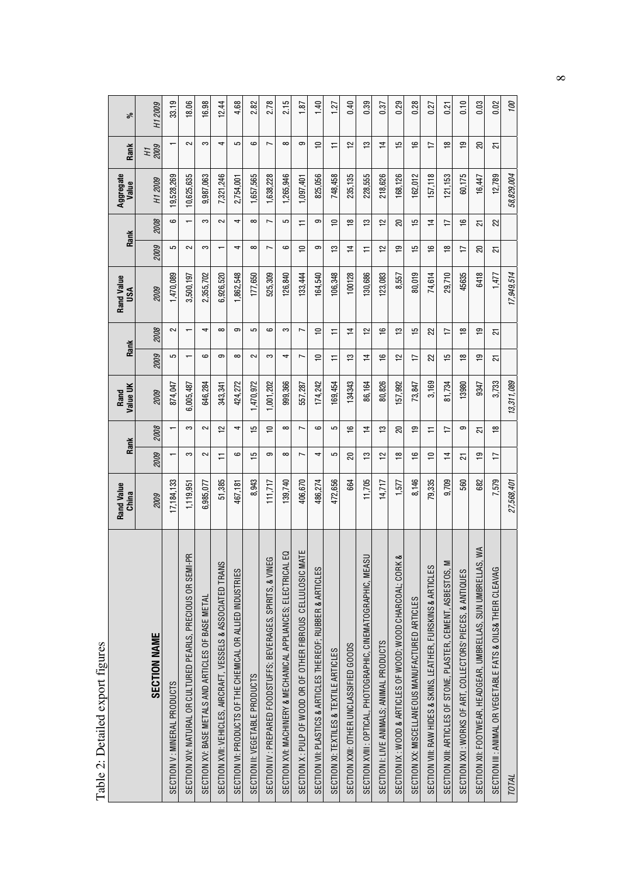|                                                                  | Rand Value<br>China | Rank           |                         | Value UK<br>Rand | Rank                     |                | Rand Value<br>USA |                | Rank           | Aggregate<br>Value | Rank           | శ       |
|------------------------------------------------------------------|---------------------|----------------|-------------------------|------------------|--------------------------|----------------|-------------------|----------------|----------------|--------------------|----------------|---------|
| <b>SECTION NAME</b>                                              | 2009                | 2009           | 2008                    | 2009             | 2009                     | 2008           | 2009              | 2009           | 2008           | H1 2009            | 2009<br>HТ     | H1 2009 |
| SECTION V: MINERAL PRODUCTS                                      | 17,184,133          | $\mathbf$      |                         | 874,047          | 5                        | $\sim$         | 1,470,089         | 5              | ဖ              | 9.528.269          | $\overline{ }$ | 33.19   |
| Ę<br>SECTION XIV: NATURAL OR CULTURED PEARLS, PRECIOUS OR SEMI   | 1,119,951           | က              | က                       | 6,005,487        | $\overline{\phantom{0}}$ |                | 3,500,197         | 2              |                | 10,625,635         | $\sim$         | 18.06   |
| SECTION XV: BASE METALS AND ARTICLES OF BASE METAL               | 6,985,077           | 2              | 2                       | 646,284          | ဖ                        | 4              | 2,355,702         | S              | S              | 9,987,063          | က              | 16.98   |
| SECTION XVII: VEHICLES, AIRCRAFT, VESSELS & ASSOCIATED TRANS     | 51,385              | π              | $\overline{\mathbf{C}}$ | 343,341          | ၜ                        | $\infty$       | 6,926,520         |                | 2              | 7,321,246          | 4              | 12.44   |
| SECTION VI: PRODUCTS OF THE CHEMICAL OR ALLIED INDUSTRIES        | 467,181             | ဖ              | 4                       | 424,272          | $\infty$                 | တ              | 1,862,548         | 4              | 4              | 2,754,001          | 5              | 4.68    |
| SECTION II: VEGETABLE PRODUCTS                                   | 8,943               | 으              | S                       | 1,470,972        | $\sim$                   | 5              | 177,650           | $\infty$       | ∞              | 1,657,565          | ဖ              | 82      |
| SECTION IV : PREPARED FOODSTUFFS; BEVERAGES, SPIRITS, & VINEG    | 11,717              | ၜ              | $\Rightarrow$           | .001,202         | S                        | ဖ              | 525,309           | $\overline{ }$ | $\overline{ }$ | ,638,228           | $\overline{ }$ | 2.78    |
| G<br>SECTION XVI: MACHINERY & MECHANICAL APPLIANCES; ELECTRICAL  | 139,740             | $\infty$       | $\infty$                | 999,366          | 4                        | S              | 126,840           | ဖ              | 5              | ,265,946           | $\infty$       | 2.15    |
| SECTION X : PULP OF WOOD OR OF OTHER FIBROUS CELLULOSIC MATE     | 406,670             | L              | $\overline{ }$          | 557,287          | Z                        | r              | 133,444           | ₽              | ∓              | 1,097,401          | တ              | 1.87    |
| SECTION VII: PLASTICS & ARTICLES THEREOF; RUBBER & ARTICLES      | 486.274             | 4              | ဖ                       | 174,242          | $\Rightarrow$            | $\Rightarrow$  | 164,540           | ၜ              | တ              | 825,056            | $\Rightarrow$  | 1.40    |
| SECTION XI: TEXTILES & TEXTILE ARTICLES                          | 472,656             | 5              | 5                       | 169,454          | Ξ                        | Ξ              | 106,348           | చి             | $\overline{1}$ | 748,458            | Ξ              | 1.27    |
| SECTION XXII: OTHER UNCLASSIFIED GOODS                           | 664                 | ສ              | ڡ                       | 134343           | مبر<br>ب                 | $\overline{1}$ | 100128            | $\overline{4}$ | ₽              | 235,135            | $\tilde{c}$    | 0.40    |
| SECTION XVIII : OPTICAL, PHOTOGRAPHIC, CINEMATOGRAPHIC, MEASU    | 11,705              | ≌              | $\overline{4}$          | 86,164           | $\overline{1}$           | $\tilde{c}$    | 130,686           | ≓              | ≌              | 228,555            | 13             | 0.39    |
| SECTION I: LIVE ANIMALS; ANIMAL PRODUCTS                         | 14,717              | $\tilde{c}$    | ≌                       | 80,826           | $\frac{6}{1}$            | $\frac{6}{1}$  | 123,083           | $\tilde{c}$    | $\tilde{c}$    | 218,626            | $\overline{1}$ | 0.37    |
| SECTION IX : WOOD & ARTICLES OF WOOD; WOOD CHARCOAL; CORK &      | 1,577               | ₽              | ສ                       | 57,992           | $\frac{1}{2}$            | $\frac{1}{2}$  | 8,557             | ٥Ļ             | 20             | 168,126            | 15             | 29<br>ö |
| SECTION XX: MISCELLANEOUS MANUFACTURED ARTICLES                  | 8,146               | $\frac{6}{1}$  | <u>۾</u>                | 73,847           | 17                       | 15             | 80,019            | 15             | 15             | 162,012            | $\frac{6}{1}$  | 0.28    |
| SECTION VIII: RAW HIDES & SKINS, LEATHER, FURSKINS & ARTICLES    | 79,335              | ₽              | π                       | 3,169            | 22                       | 22             | 74,614            | ٩              | $\overline{1}$ | 157,118            | $\overline{1}$ | 0.27    |
| Σ<br>SECTION XIII: ARTICLES OF STONE, PLASTER, CEMENT, ASBESTOS, | 9.709               | $\overline{4}$ | 17                      | 81,734           | 15                       | 17             | 29,710            | $\frac{8}{10}$ | $\overline{1}$ | 121,153            | $\frac{8}{1}$  | 0.21    |
| SECTION XXI : WORKS OF ART, COLLECTORS' PIECES, & ANTIQUES       | 560                 | ಸ              | ၜ                       | 13980            | $\frac{8}{1}$            | $\frac{8}{1}$  | 45635             | 17             | $\frac{6}{1}$  | 60,175             | <b>o</b>       | 0.10    |
| SECTION XII: FOOTWEAR, HEADGEAR, UMBRELLAS, SUN UMBRELLAS, WA    | 682                 | ٩P             | 51                      | 9347             | ٩P                       | ٩P             | 6418              | 20             | ಸ              | 16,447             | 20             | 0.03    |
| SECTION III : ANIMAL OR VEGETABLE FATS & OILS& THEIR CLEAVAG     | 7,579               | 17             | $\frac{8}{1}$           | 3,733            | $\overline{21}$          | 21             | 1,477             | 51             | 22             | 12,789             | 21             | 0.02    |
| <b>TOTAL</b>                                                     | 27,568,401          |                |                         | 13,311,089       |                          |                | 17,949,514        |                |                | 58,829,004         |                | 100     |

Table 2: Detailed export figures Table 2: Detailed export figures  $\infty$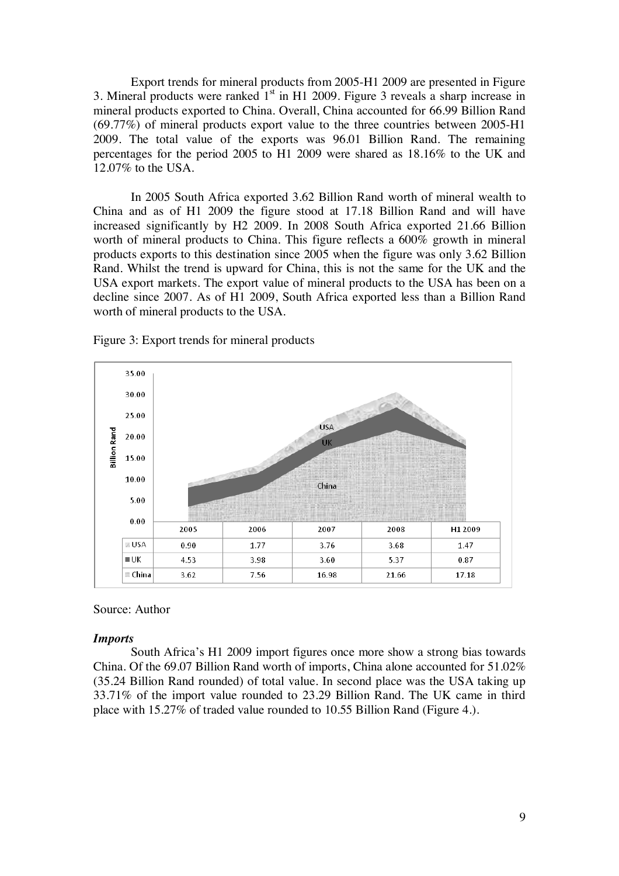Export trends for mineral products from 2005-H1 2009 are presented in Figure 3. Mineral products were ranked  $1<sup>st</sup>$  in H1 2009. Figure 3 reveals a sharp increase in mineral products exported to China. Overall, China accounted for 66.99 Billion Rand (69.77%) of mineral products export value to the three countries between 2005-H1 2009. The total value of the exports was 96.01 Billion Rand. The remaining percentages for the period 2005 to H1 2009 were shared as 18.16% to the UK and 12.07% to the USA.

In 2005 South Africa exported 3.62 Billion Rand worth of mineral wealth to China and as of H1 2009 the figure stood at 17.18 Billion Rand and will have increased significantly by H2 2009. In 2008 South Africa exported 21.66 Billion worth of mineral products to China. This figure reflects a 600% growth in mineral products exports to this destination since 2005 when the figure was only 3.62 Billion Rand. Whilst the trend is upward for China, this is not the same for the UK and the USA export markets. The export value of mineral products to the USA has been on a decline since 2007. As of H1 2009, South Africa exported less than a Billion Rand worth of mineral products to the USA.



Figure 3: Export trends for mineral products

### Source: Author

### *Imports*

South Africa's H1 2009 import figures once more show a strong bias towards China. Of the 69.07 Billion Rand worth of imports, China alone accounted for 51.02% (35.24 Billion Rand rounded) of total value. In second place was the USA taking up 33.71% of the import value rounded to 23.29 Billion Rand. The UK came in third place with 15.27% of traded value rounded to 10.55 Billion Rand (Figure 4.).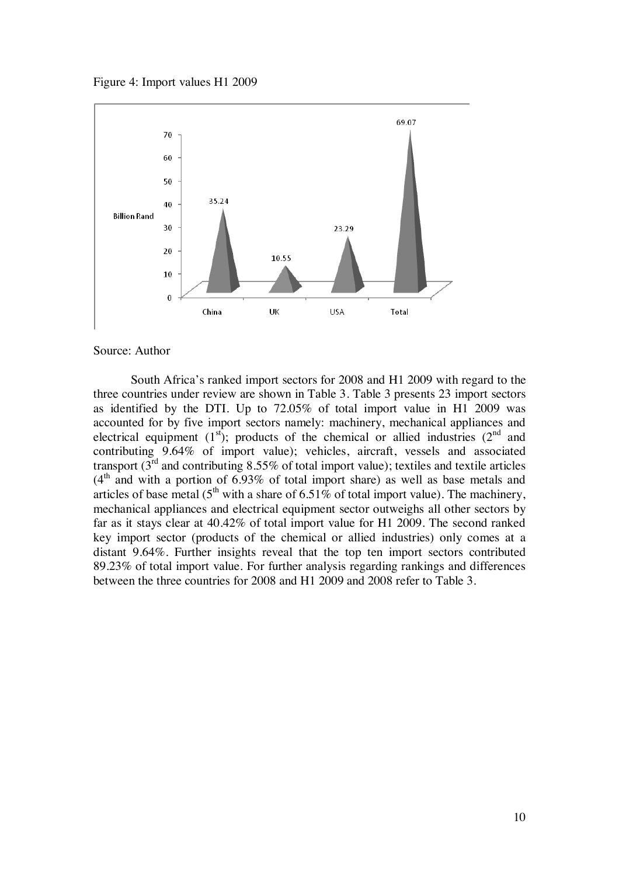Figure 4: Import values H1 2009



#### Source: Author

South Africa's ranked import sectors for 2008 and H1 2009 with regard to the three countries under review are shown in Table 3. Table 3 presents 23 import sectors as identified by the DTI. Up to 72.05% of total import value in H1 2009 was accounted for by five import sectors namely: machinery, mechanical appliances and electrical equipment  $(1<sup>st</sup>)$ ; products of the chemical or allied industries  $(2<sup>nd</sup>$  and contributing 9.64% of import value); vehicles, aircraft, vessels and associated transport  $(3^{rd}$  and contributing 8.55% of total import value); textiles and textile articles  $(4<sup>th</sup>$  and with a portion of 6.93% of total import share) as well as base metals and articles of base metal  $(5^{th}$  with a share of 6.51% of total import value). The machinery, mechanical appliances and electrical equipment sector outweighs all other sectors by far as it stays clear at 40.42% of total import value for H1 2009. The second ranked key import sector (products of the chemical or allied industries) only comes at a distant 9.64%. Further insights reveal that the top ten import sectors contributed 89.23% of total import value. For further analysis regarding rankings and differences between the three countries for 2008 and H1 2009 and 2008 refer to Table 3.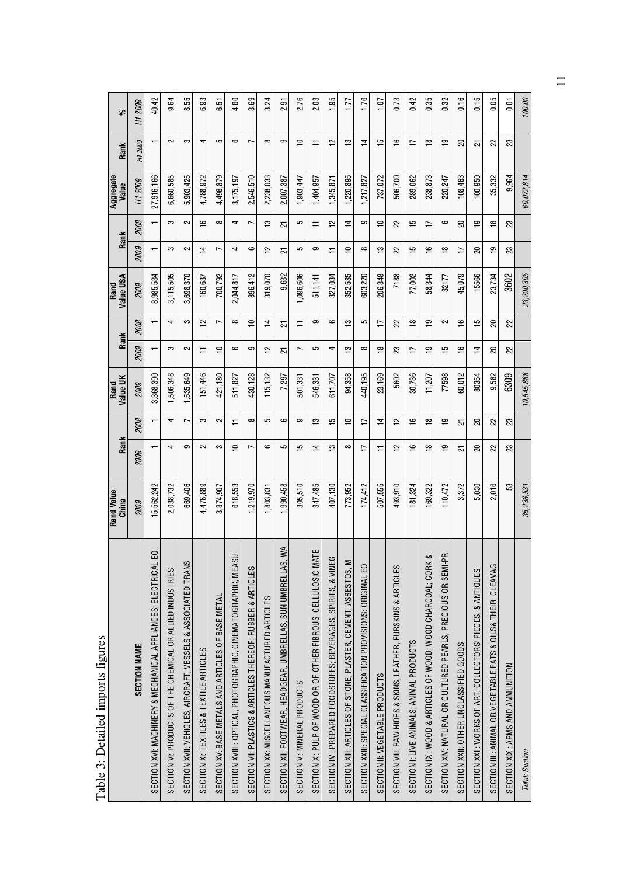|                                                                                | Rand Value<br>China | Rank           |                | Value UK<br>Rand |                | Rank           | Value USA<br>Rand |                | Rank           | Aggregate<br>Value | Rank           | వ్      |
|--------------------------------------------------------------------------------|---------------------|----------------|----------------|------------------|----------------|----------------|-------------------|----------------|----------------|--------------------|----------------|---------|
| <b>SECTION NAME</b>                                                            | 2009                | 2009           | 2008           | 2009             | 2009           | 2008           | 2009              | 2009           | 2008           | H1 2009            | H1 2009        | H1 2009 |
| G<br>SECTION XVI: MACHINERY & MECHANICAL APPLIANCES; ELECTRICAL                | 15,562,242          |                |                | 3,368,390        |                |                | 8,985,534         |                |                | 27,916,166         |                | 40.42   |
| SECTION VI: PRODUCTS OF THE CHEMICAL OR ALLIED INDUSTRIES                      | 2,038,732           | 4              | 4              | 1,506,348        | က              | 4              | 3,115,505         | က              | က              | 6,660,585          | 2              | 9.64    |
| SECTION XVII: VEHICLES, AIRCRAFT, VESSELS & ASSOCIATED TRANS                   | 669,406             | ၜ              | $\overline{ }$ | 1,535,649        | $\sim$         | က              | 3,698,370         | 2              | 2              | 5,903,425          | က              | 8.55    |
| SECTION XI: TEXTILES & TEXTILE ARTICLES                                        | 4,476,889           | 2              | က              | 151,446          | ≓              | $\tilde{L}$    | 160,637           | $\overline{1}$ | $\frac{6}{5}$  | 4,788,972          | 4              | 6.93    |
| SECTION XV: BASE METALS AND ARTICLES OF BASE METAL                             | 3,374,907           | S              | 2              | 421.180          | $\approx$      | J              | 700.792           | Ľ              | $\infty$       | 4,496,879          | 5              | 6.51    |
| SECTION XVIII : OPTICAL, PHOTOGRAPHIC, CINEMATOGRAPHIC, MEASU                  | 618,553             | ₽              | ≓              | 511,827          | ဖ              | $\infty$       | 2,044,817         | 4              | 4              | 3,175,197          | ဖ              | 4.60    |
| SECTION VII: PLASTICS & ARTICLES THEREOF; RUBBER & ARTICLES                    | ,219,970            | L              | $\infty$       | 430,128          | ၜ              | ₽              | 896,412           | ဖ              | r              | 2,546,510          | r              | 3.69    |
| SECTION XX: MISCELLANEOUS MANUFACTURED ARTICLES                                | ,803,831            | ဖ              | 5              | 115,132          | $\approx$      | $\overline{4}$ | 319,070           | $\overline{1}$ | ≌              | 2,238,033          | $\infty$       | 3.24    |
| $W^{\mathsf{A}}$<br>SECTION XII: FOOTWEAR, HEADGEAR, UMBRELLAS, SUN UMBRELLAS, | .990,458            | 5              | ဖ              | 7,297            | 21             | 21             | 9,632             | ಸ              | ಸ              | 2,007,387          | ග              | ᡖ<br>ظ  |
| SECTION V: MINERAL PRODUCTS                                                    | 305,510             | 15             | ၜ              | 501,331          | ſ              | ≓              | 1,096,606         | 5              | 5              | 1,903,447          | $\Rightarrow$  | 2.76    |
| SECTION X: PULP OF WOOD OR OF OTHER FIBROUS CELLULOSIC MATE                    | 347,485             | $\overline{4}$ | ≌              | 546,331          | 5              | တ              | 511,141           | တ              | ≓              | 1,404,957          | ∓              | 2.03    |
| SECTION IV : PREPARED FOODSTUFFS; BEVERAGES, SPIRITS, & VINEG                  | 407,130             | చి             | 15             | 611.707          | 4              | ဖ              | 327,034           | ∓              | 으              | 1,345,871          | $\tilde{1}$    | 1.95    |
| SECTION XIII: ARTICLES OF STONE, PLASTER, CEMENT, ASBESTOS, M                  | 773,952             | $\infty$       | ₽              | 94,358           | ≌              | ≌              | 352,585           | $\overline{1}$ | $\overline{1}$ | 1,220,895          | $\frac{3}{2}$  | 1.77    |
| SECTION XXIII: SPECIAL CLASSIFICATION PROVISIONS: ORIGINAL EQ                  | 174,412             | 17             | 17             | 440,195          | ∞              | 5              | 603,220           | ∞              | တ              | 1,217,827          | $\overline{1}$ | 1.76    |
| SECTION II: VEGETABLE PRODUCTS                                                 | 507,555             | ≓              | $\overline{4}$ | 23,169           | $\frac{8}{10}$ | $\overline{1}$ | 206,348           | $\frac{1}{2}$  | $\Rightarrow$  | 737,072            | $\frac{5}{1}$  | 1.07    |
| SECTION VIII: RAW HIDES & SKINS, LEATHER, FURSKINS & ARTICLES                  | 493,910             | $\approx$      | $\tilde{c}$    | 5602             | 23             | 22             | 7188              | 22             | 22             | 506,700            | $\frac{6}{1}$  | 0.73    |
| SECTION I: LIVE ANIMALS; ANIMAL PRODUCTS                                       | 181,324             | ݠ              | $\frac{6}{1}$  | 30,736           | ≒              | ₽              | 77,002            | مبر<br>م       | 51             | 289,062            | 17             | 0.42    |
| ಂಶ<br>SECTION IX : WOOD & ARTICLES OF WOOD; WOOD CHARCOAL; CORK                | 169,322             | ₽              | $\frac{8}{1}$  | 11,207           | င္ဘာ           | ഇ              | 58,344            | $\frac{6}{1}$  | ⋍              | 238,873            | $\frac{8}{1}$  | 0.35    |
| SECTION XIV: NATURAL OR CULTURED PEARLS, PRECIOUS OR SEMI-PR                   | 110,472             | ٣p             | e+             | 77598            | 15             | 2              | 32177             | $\frac{8}{1}$  | ဖ              | 220,247            | $\overline{9}$ | 0.32    |
| SECTION XXII: OTHER UNCLASSIFIED GOODS                                         | 3,372               | ಸ              | 51             | 60,012           | $\frac{1}{2}$  | $\frac{6}{5}$  | 45,079            | 17             | 20             | 108,463            | 20             | 0.16    |
| SECTION XXI: WORKS OF ART, COLLECTORS' PIECES, & ANTIQUES                      | 5,030               | ສ              | ສ              | 80354            | $\overline{4}$ | جه             | 15566             | 20             | ē,             | 100,950            | ಸ              | 0.15    |
| SECTION III : ANIMAL OR VEGETABLE FATS & OILS& THEIR CLEAVAG                   | 2,016               | 22             | 22             | 9.582            | 20             | 20             | 23.734            | ٩Ļ             | ₽              | 35,332             | 22             | 0.05    |
| SECTION XIX : ARMS AND AMMUNITION                                              | S3                  | 23             | 23             | 6309             | 2              | 22             | 3602              | 23             | 23             | 9,964              | 23             | 0.01    |
| Total: Section                                                                 | 35,236,531          |                |                | 10,545,888       |                |                | 23,290,395        |                |                | 69,072,814         |                | 100.00  |

Table 3: Detailed imports figures Table 3: Detailed imports figures 11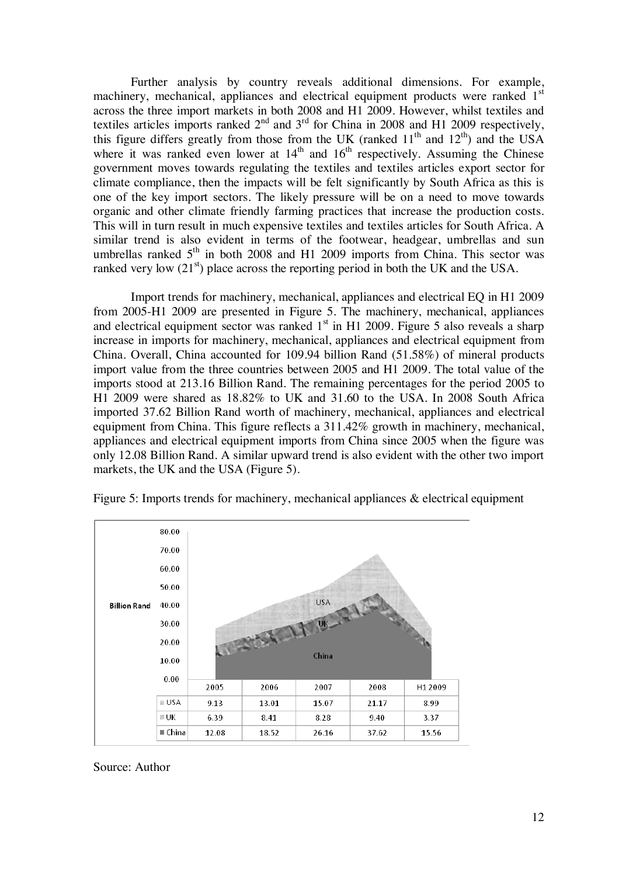Further analysis by country reveals additional dimensions. For example, machinery, mechanical, appliances and electrical equipment products were ranked 1<sup>st</sup> across the three import markets in both 2008 and H1 2009. However, whilst textiles and textiles articles imports ranked  $2<sup>nd</sup>$  and  $3<sup>rd</sup>$  for China in 2008 and H1 2009 respectively, this figure differs greatly from those from the UK (ranked  $11<sup>th</sup>$  and  $12<sup>th</sup>$ ) and the USA where it was ranked even lower at  $14<sup>th</sup>$  and  $16<sup>th</sup>$  respectively. Assuming the Chinese government moves towards regulating the textiles and textiles articles export sector for climate compliance, then the impacts will be felt significantly by South Africa as this is one of the key import sectors. The likely pressure will be on a need to move towards organic and other climate friendly farming practices that increase the production costs. This will in turn result in much expensive textiles and textiles articles for South Africa. A similar trend is also evident in terms of the footwear, headgear, umbrellas and sun umbrellas ranked  $5<sup>th</sup>$  in both 2008 and H1 2009 imports from China. This sector was ranked very low  $(21<sup>st</sup>)$  place across the reporting period in both the UK and the USA.

Import trends for machinery, mechanical, appliances and electrical EQ in H1 2009 from 2005-H1 2009 are presented in Figure 5. The machinery, mechanical, appliances and electrical equipment sector was ranked  $1<sup>st</sup>$  in H1 2009. Figure 5 also reveals a sharp increase in imports for machinery, mechanical, appliances and electrical equipment from China. Overall, China accounted for 109.94 billion Rand (51.58%) of mineral products import value from the three countries between 2005 and H1 2009. The total value of the imports stood at 213.16 Billion Rand. The remaining percentages for the period 2005 to H1 2009 were shared as 18.82% to UK and 31.60 to the USA. In 2008 South Africa imported 37.62 Billion Rand worth of machinery, mechanical, appliances and electrical equipment from China. This figure reflects a 311.42% growth in machinery, mechanical, appliances and electrical equipment imports from China since 2005 when the figure was only 12.08 Billion Rand. A similar upward trend is also evident with the other two import markets, the UK and the USA (Figure 5).



Figure 5: Imports trends for machinery, mechanical appliances & electrical equipment

Source: Author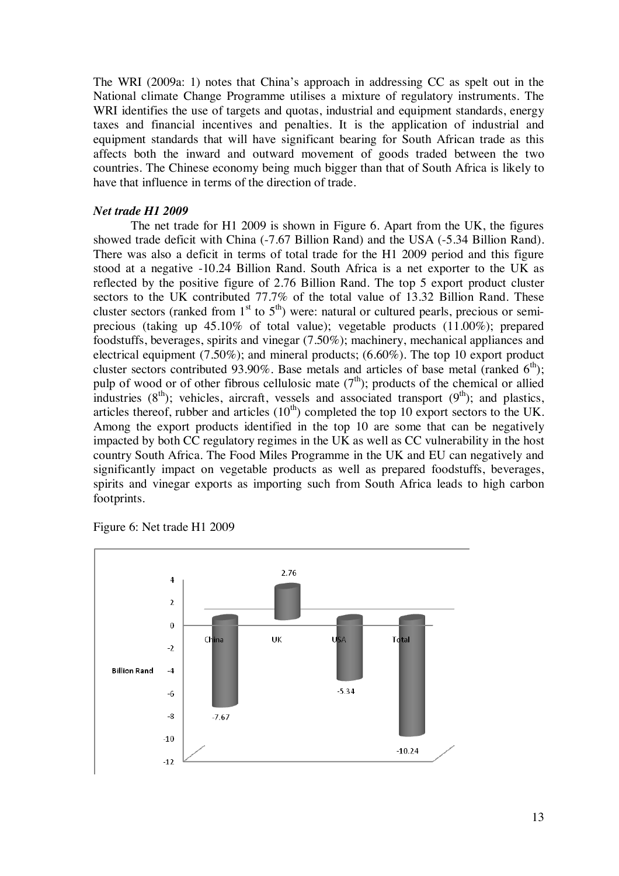The WRI (2009a: 1) notes that China's approach in addressing CC as spelt out in the National climate Change Programme utilises a mixture of regulatory instruments. The WRI identifies the use of targets and quotas, industrial and equipment standards, energy taxes and financial incentives and penalties. It is the application of industrial and equipment standards that will have significant bearing for South African trade as this affects both the inward and outward movement of goods traded between the two countries. The Chinese economy being much bigger than that of South Africa is likely to have that influence in terms of the direction of trade.

## *Net trade H1 2009*

The net trade for H1 2009 is shown in Figure 6. Apart from the UK, the figures showed trade deficit with China (-7.67 Billion Rand) and the USA (-5.34 Billion Rand). There was also a deficit in terms of total trade for the H1 2009 period and this figure stood at a negative -10.24 Billion Rand. South Africa is a net exporter to the UK as reflected by the positive figure of 2.76 Billion Rand. The top 5 export product cluster sectors to the UK contributed 77.7% of the total value of 13.32 Billion Rand. These cluster sectors (ranked from  $1<sup>st</sup>$  to  $5<sup>th</sup>$ ) were: natural or cultured pearls, precious or semiprecious (taking up 45.10% of total value); vegetable products (11.00%); prepared foodstuffs, beverages, spirits and vinegar (7.50%); machinery, mechanical appliances and electrical equipment (7.50%); and mineral products; (6.60%). The top 10 export product cluster sectors contributed 93.90%. Base metals and articles of base metal (ranked  $6<sup>th</sup>$ ); pulp of wood or of other fibrous cellulosic mate  $(7<sup>th</sup>)$ ; products of the chemical or allied industries (8<sup>th</sup>); vehicles, aircraft, vessels and associated transport (9<sup>th</sup>); and plastics, articles thereof, rubber and articles  $(10<sup>th</sup>)$  completed the top 10 export sectors to the UK. Among the export products identified in the top 10 are some that can be negatively impacted by both CC regulatory regimes in the UK as well as CC vulnerability in the host country South Africa. The Food Miles Programme in the UK and EU can negatively and significantly impact on vegetable products as well as prepared foodstuffs, beverages, spirits and vinegar exports as importing such from South Africa leads to high carbon footprints.

Figure 6: Net trade H1 2009

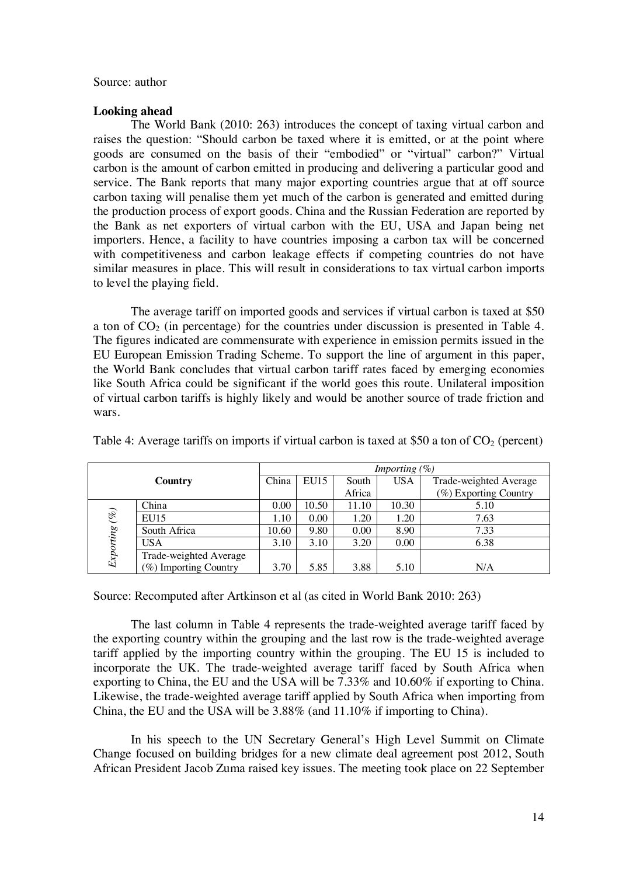#### Source: author

## **Looking ahead**

The World Bank (2010: 263) introduces the concept of taxing virtual carbon and raises the question: "Should carbon be taxed where it is emitted, or at the point where goods are consumed on the basis of their "embodied" or "virtual" carbon?" Virtual carbon is the amount of carbon emitted in producing and delivering a particular good and service. The Bank reports that many major exporting countries argue that at off source carbon taxing will penalise them yet much of the carbon is generated and emitted during the production process of export goods. China and the Russian Federation are reported by the Bank as net exporters of virtual carbon with the EU, USA and Japan being net importers. Hence, a facility to have countries imposing a carbon tax will be concerned with competitiveness and carbon leakage effects if competing countries do not have similar measures in place. This will result in considerations to tax virtual carbon imports to level the playing field.

The average tariff on imported goods and services if virtual carbon is taxed at \$50 a ton of  $CO<sub>2</sub>$  (in percentage) for the countries under discussion is presented in Table 4. The figures indicated are commensurate with experience in emission permits issued in the EU European Emission Trading Scheme. To support the line of argument in this paper, the World Bank concludes that virtual carbon tariff rates faced by emerging economies like South Africa could be significant if the world goes this route. Unilateral imposition of virtual carbon tariffs is highly likely and would be another source of trade friction and wars.

|               |                        |       |       |        | Importing $(\%)$ |                        |
|---------------|------------------------|-------|-------|--------|------------------|------------------------|
|               | Country                | China | EU15  | South  | <b>USA</b>       | Trade-weighted Average |
|               |                        |       |       | Africa |                  | (%) Exporting Country  |
|               | China                  | 0.00  | 10.50 | 11.10  | 10.30            | 5.10                   |
|               | EU15                   | 1.10  | 0.00  | 1.20   | 1.20             | 7.63                   |
|               | South Africa           | 10.60 | 9.80  | 0.00   | 8.90             | 7.33                   |
| Exporting (%) | <b>USA</b>             | 3.10  | 3.10  | 3.20   | 0.00             | 6.38                   |
|               | Trade-weighted Average |       |       |        |                  |                        |
|               | (%) Importing Country  | 3.70  | 5.85  | 3.88   | 5.10             | N/A                    |

Table 4: Average tariffs on imports if virtual carbon is taxed at \$50 a ton of  $CO<sub>2</sub>$  (percent)

Source: Recomputed after Artkinson et al (as cited in World Bank 2010: 263)

The last column in Table 4 represents the trade-weighted average tariff faced by the exporting country within the grouping and the last row is the trade-weighted average tariff applied by the importing country within the grouping. The EU 15 is included to incorporate the UK. The trade-weighted average tariff faced by South Africa when exporting to China, the EU and the USA will be 7.33% and 10.60% if exporting to China. Likewise, the trade-weighted average tariff applied by South Africa when importing from China, the EU and the USA will be 3.88% (and 11.10% if importing to China).

 In his speech to the UN Secretary General's High Level Summit on Climate Change focused on building bridges for a new climate deal agreement post 2012, South African President Jacob Zuma raised key issues. The meeting took place on 22 September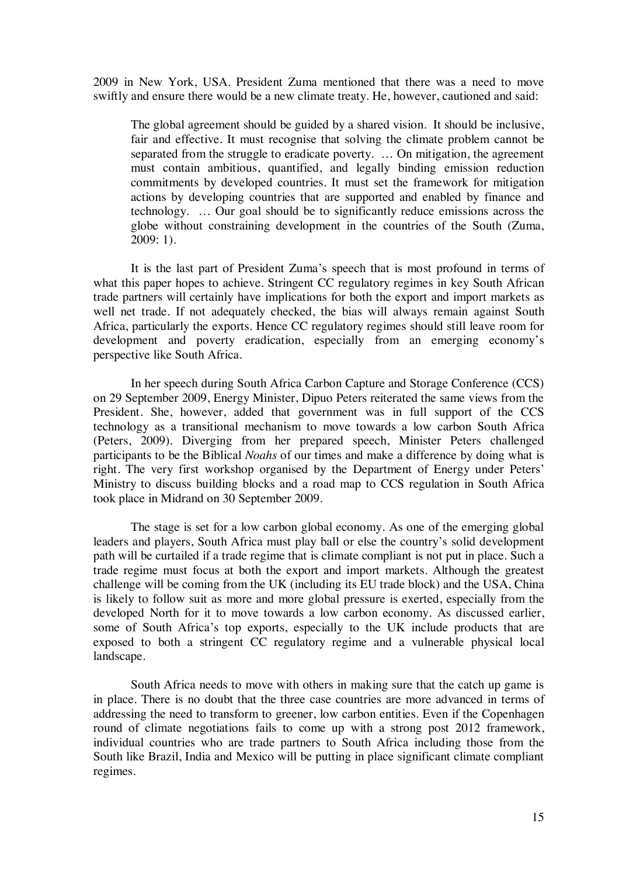2009 in New York, USA. President Zuma mentioned that there was a need to move swiftly and ensure there would be a new climate treaty. He, however, cautioned and said:

The global agreement should be guided by a shared vision. It should be inclusive, fair and effective. It must recognise that solving the climate problem cannot be separated from the struggle to eradicate poverty. … On mitigation, the agreement must contain ambitious, quantified, and legally binding emission reduction commitments by developed countries. It must set the framework for mitigation actions by developing countries that are supported and enabled by finance and technology. … Our goal should be to significantly reduce emissions across the globe without constraining development in the countries of the South (Zuma, 2009: 1).

It is the last part of President Zuma's speech that is most profound in terms of what this paper hopes to achieve. Stringent CC regulatory regimes in key South African trade partners will certainly have implications for both the export and import markets as well net trade. If not adequately checked, the bias will always remain against South Africa, particularly the exports. Hence CC regulatory regimes should still leave room for development and poverty eradication, especially from an emerging economy's perspective like South Africa.

In her speech during South Africa Carbon Capture and Storage Conference (CCS) on 29 September 2009, Energy Minister, Dipuo Peters reiterated the same views from the President. She, however, added that government was in full support of the CCS technology as a transitional mechanism to move towards a low carbon South Africa (Peters, 2009). Diverging from her prepared speech, Minister Peters challenged participants to be the Biblical *Noahs* of our times and make a difference by doing what is right. The very first workshop organised by the Department of Energy under Peters' Ministry to discuss building blocks and a road map to CCS regulation in South Africa took place in Midrand on 30 September 2009.

The stage is set for a low carbon global economy. As one of the emerging global leaders and players, South Africa must play ball or else the country's solid development path will be curtailed if a trade regime that is climate compliant is not put in place. Such a trade regime must focus at both the export and import markets. Although the greatest challenge will be coming from the UK (including its EU trade block) and the USA, China is likely to follow suit as more and more global pressure is exerted, especially from the developed North for it to move towards a low carbon economy. As discussed earlier, some of South Africa's top exports, especially to the UK include products that are exposed to both a stringent CC regulatory regime and a vulnerable physical local landscape.

South Africa needs to move with others in making sure that the catch up game is in place. There is no doubt that the three case countries are more advanced in terms of addressing the need to transform to greener, low carbon entities. Even if the Copenhagen round of climate negotiations fails to come up with a strong post 2012 framework, individual countries who are trade partners to South Africa including those from the South like Brazil, India and Mexico will be putting in place significant climate compliant regimes.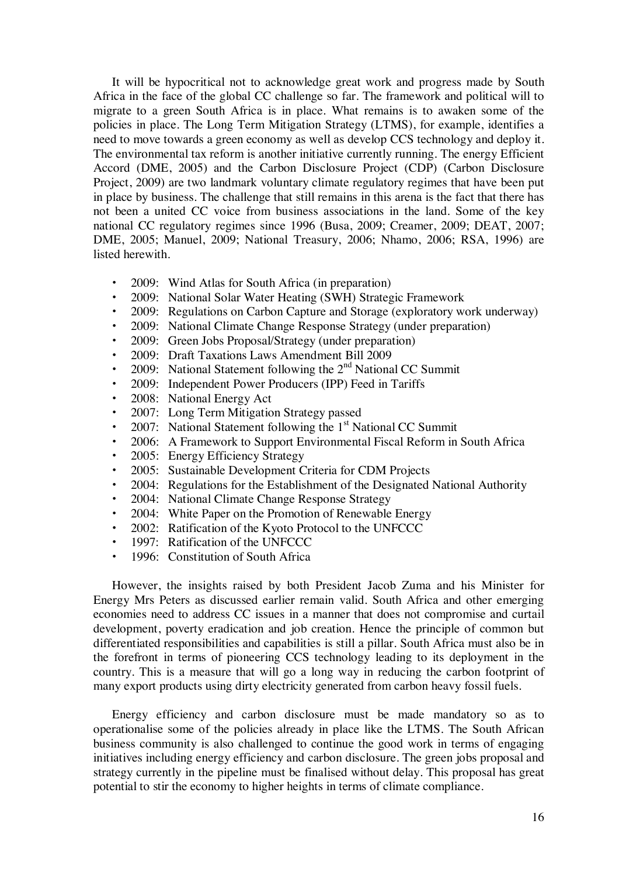It will be hypocritical not to acknowledge great work and progress made by South Africa in the face of the global CC challenge so far. The framework and political will to migrate to a green South Africa is in place. What remains is to awaken some of the policies in place. The Long Term Mitigation Strategy (LTMS), for example, identifies a need to move towards a green economy as well as develop CCS technology and deploy it. The environmental tax reform is another initiative currently running. The energy Efficient Accord (DME, 2005) and the Carbon Disclosure Project (CDP) (Carbon Disclosure Project, 2009) are two landmark voluntary climate regulatory regimes that have been put in place by business. The challenge that still remains in this arena is the fact that there has not been a united CC voice from business associations in the land. Some of the key national CC regulatory regimes since 1996 (Busa, 2009; Creamer, 2009; DEAT, 2007; DME, 2005; Manuel, 2009; National Treasury, 2006; Nhamo, 2006; RSA, 1996) are listed herewith.

- 2009: Wind Atlas for South Africa (in preparation)
- 2009: National Solar Water Heating (SWH) Strategic Framework
- 2009: Regulations on Carbon Capture and Storage (exploratory work underway)
- 2009: National Climate Change Response Strategy (under preparation)
- 2009: Green Jobs Proposal/Strategy (under preparation)
- 2009: Draft Taxations Laws Amendment Bill 2009
- 2009: National Statement following the  $2<sup>nd</sup>$  National CC Summit
- 2009: Independent Power Producers (IPP) Feed in Tariffs
- 2008: National Energy Act
- 2007: Long Term Mitigation Strategy passed
- 2007: National Statement following the  $1<sup>st</sup>$  National CC Summit
- 2006: A Framework to Support Environmental Fiscal Reform in South Africa
- 2005: Energy Efficiency Strategy
- 2005: Sustainable Development Criteria for CDM Projects
- 2004: Regulations for the Establishment of the Designated National Authority
- 2004: National Climate Change Response Strategy
- 2004: White Paper on the Promotion of Renewable Energy
- 2002: Ratification of the Kyoto Protocol to the UNFCCC
- 1997: Ratification of the UNFCCC
- 1996: Constitution of South Africa

However, the insights raised by both President Jacob Zuma and his Minister for Energy Mrs Peters as discussed earlier remain valid. South Africa and other emerging economies need to address CC issues in a manner that does not compromise and curtail development, poverty eradication and job creation. Hence the principle of common but differentiated responsibilities and capabilities is still a pillar. South Africa must also be in the forefront in terms of pioneering CCS technology leading to its deployment in the country. This is a measure that will go a long way in reducing the carbon footprint of many export products using dirty electricity generated from carbon heavy fossil fuels.

Energy efficiency and carbon disclosure must be made mandatory so as to operationalise some of the policies already in place like the LTMS. The South African business community is also challenged to continue the good work in terms of engaging initiatives including energy efficiency and carbon disclosure. The green jobs proposal and strategy currently in the pipeline must be finalised without delay. This proposal has great potential to stir the economy to higher heights in terms of climate compliance.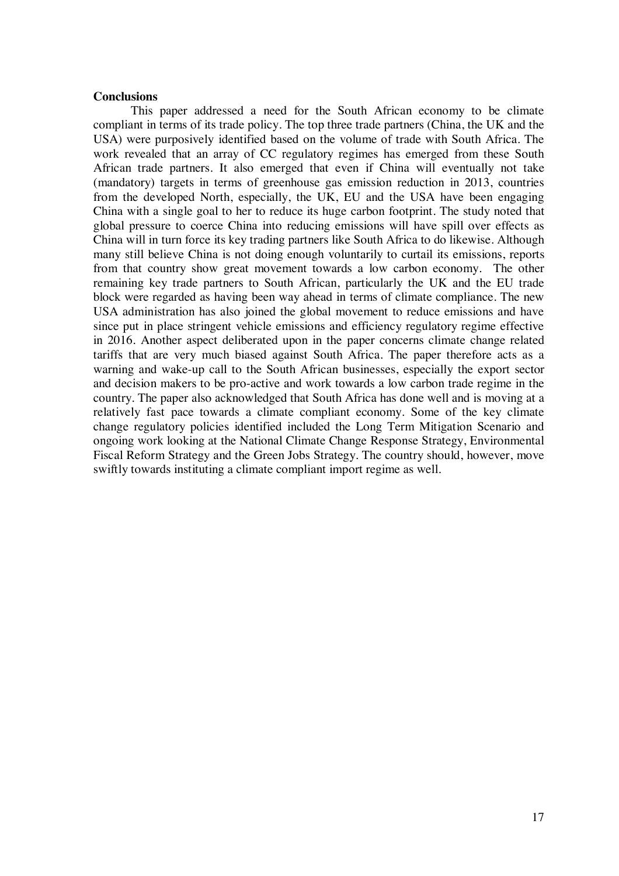#### **Conclusions**

This paper addressed a need for the South African economy to be climate compliant in terms of its trade policy. The top three trade partners (China, the UK and the USA) were purposively identified based on the volume of trade with South Africa. The work revealed that an array of CC regulatory regimes has emerged from these South African trade partners. It also emerged that even if China will eventually not take (mandatory) targets in terms of greenhouse gas emission reduction in 2013, countries from the developed North, especially, the UK, EU and the USA have been engaging China with a single goal to her to reduce its huge carbon footprint. The study noted that global pressure to coerce China into reducing emissions will have spill over effects as China will in turn force its key trading partners like South Africa to do likewise. Although many still believe China is not doing enough voluntarily to curtail its emissions, reports from that country show great movement towards a low carbon economy. The other remaining key trade partners to South African, particularly the UK and the EU trade block were regarded as having been way ahead in terms of climate compliance. The new USA administration has also joined the global movement to reduce emissions and have since put in place stringent vehicle emissions and efficiency regulatory regime effective in 2016. Another aspect deliberated upon in the paper concerns climate change related tariffs that are very much biased against South Africa. The paper therefore acts as a warning and wake-up call to the South African businesses, especially the export sector and decision makers to be pro-active and work towards a low carbon trade regime in the country. The paper also acknowledged that South Africa has done well and is moving at a relatively fast pace towards a climate compliant economy. Some of the key climate change regulatory policies identified included the Long Term Mitigation Scenario and ongoing work looking at the National Climate Change Response Strategy, Environmental Fiscal Reform Strategy and the Green Jobs Strategy. The country should, however, move swiftly towards instituting a climate compliant import regime as well.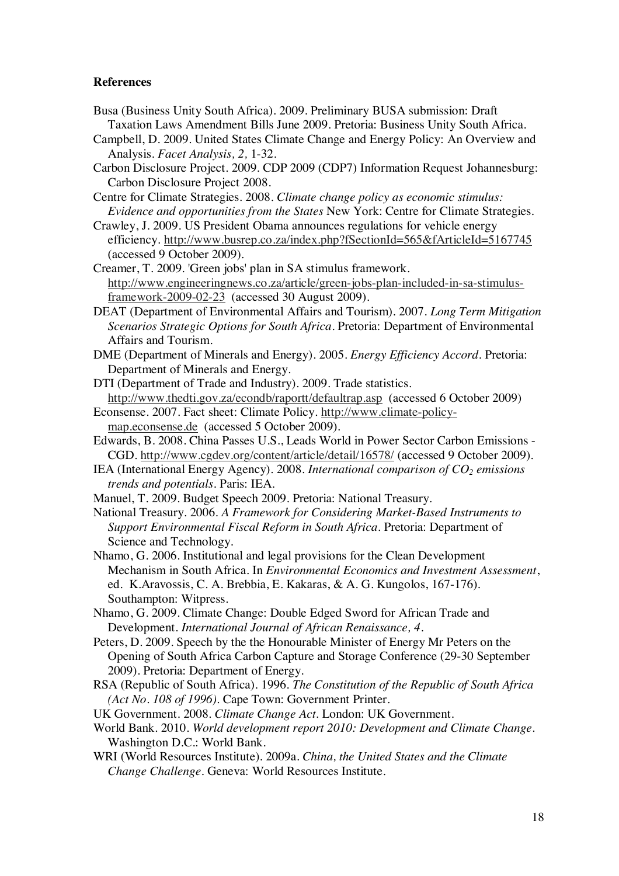## **References**

- Busa (Business Unity South Africa). 2009. Preliminary BUSA submission: Draft Taxation Laws Amendment Bills June 2009. Pretoria: Business Unity South Africa.
- Campbell, D. 2009. United States Climate Change and Energy Policy: An Overview and Analysis. *Facet Analysis, 2,* 1-32.
- Carbon Disclosure Project. 2009. CDP 2009 (CDP7) Information Request Johannesburg: Carbon Disclosure Project 2008.
- Centre for Climate Strategies. 2008. *Climate change policy as economic stimulus: Evidence and opportunities from the States* New York: Centre for Climate Strategies.
- Crawley, J. 2009. US President Obama announces regulations for vehicle energy efficiency. http://www.busrep.co.za/index.php?fSectionId=565&fArticleId=5167745 (accessed 9 October 2009).
- Creamer, T. 2009. 'Green jobs' plan in SA stimulus framework. http://www.engineeringnews.co.za/article/green-jobs-plan-included-in-sa-stimulusframework-2009-02-23 (accessed 30 August 2009).
- DEAT (Department of Environmental Affairs and Tourism). 2007. *Long Term Mitigation Scenarios Strategic Options for South Africa*. Pretoria: Department of Environmental Affairs and Tourism.
- DME (Department of Minerals and Energy). 2005. *Energy Efficiency Accord*. Pretoria: Department of Minerals and Energy.
- DTI (Department of Trade and Industry). 2009. Trade statistics. http://www.thedti.gov.za/econdb/raportt/defaultrap.asp (accessed 6 October 2009) Econsense. 2007. Fact sheet: Climate Policy. http://www.climate-policy-
- map.econsense.de (accessed 5 October 2009).
- Edwards, B. 2008. China Passes U.S., Leads World in Power Sector Carbon Emissions CGD. http://www.cgdev.org/content/article/detail/16578/ (accessed 9 October 2009).
- IEA (International Energy Agency). 2008. *International comparison of CO<sub>2</sub> emissions trends and potentials*. Paris: IEA.
- Manuel, T. 2009. Budget Speech 2009. Pretoria: National Treasury.
- National Treasury. 2006. *A Framework for Considering Market-Based Instruments to Support Environmental Fiscal Reform in South Africa*. Pretoria: Department of Science and Technology.
- Nhamo, G. 2006. Institutional and legal provisions for the Clean Development Mechanism in South Africa. In *Environmental Economics and Investment Assessment*, ed. K.Aravossis, C. A. Brebbia, E. Kakaras, & A. G. Kungolos, 167-176). Southampton: Witpress.
- Nhamo, G. 2009. Climate Change: Double Edged Sword for African Trade and Development. *International Journal of African Renaissance, 4*.
- Peters, D. 2009. Speech by the the Honourable Minister of Energy Mr Peters on the Opening of South Africa Carbon Capture and Storage Conference (29-30 September 2009). Pretoria: Department of Energy.
- RSA (Republic of South Africa). 1996. *The Constitution of the Republic of South Africa (Act No. 108 of 1996)*. Cape Town: Government Printer.
- UK Government. 2008. *Climate Change Act*. London: UK Government.
- World Bank. 2010. *World development report 2010: Development and Climate Change*. Washington D.C.: World Bank.
- WRI (World Resources Institute). 2009a. *China, the United States and the Climate Change Challenge*. Geneva: World Resources Institute.